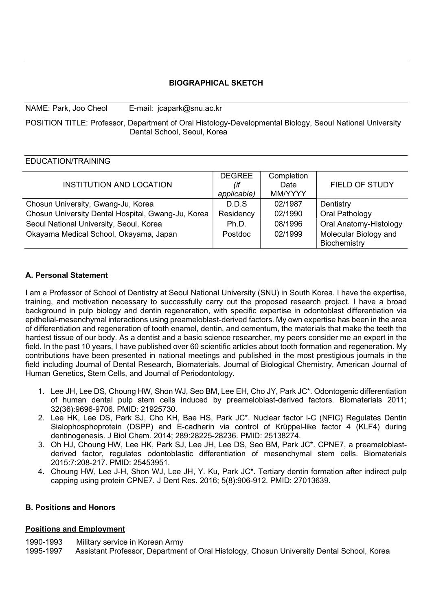#### BIOGRAPHICAL SKETCH

POSITION TITLE: Professor, Department of Oral Histology-Developmental Biology, Seoul National University Dental School, Seoul, Korea

#### EDUCATION/TRAINING

NAME: Park, Joo Cheol E-mail: jcapark@snu.ac.kr

|                                                    | <b>DEGREE</b> | Completion |                        |
|----------------------------------------------------|---------------|------------|------------------------|
| INSTITUTION AND LOCATION                           | (if           | Date       | <b>FIELD OF STUDY</b>  |
|                                                    | applicable)   | MM/YYYY    |                        |
| Chosun University, Gwang-Ju, Korea                 | D.D.S         | 02/1987    | Dentistry              |
| Chosun University Dental Hospital, Gwang-Ju, Korea | Residency     | 02/1990    | Oral Pathology         |
| Seoul National University, Seoul, Korea            | Ph.D.         | 08/1996    | Oral Anatomy-Histology |
| Okayama Medical School, Okayama, Japan             | Postdoc       | 02/1999    | Molecular Biology and  |
|                                                    |               |            | Biochemistry           |

## A. Personal Statement

I am a Professor of School of Dentistry at Seoul National University (SNU) in South Korea. I have the expertise, training, and motivation necessary to successfully carry out the proposed research project. I have a broad background in pulp biology and dentin regeneration, with specific expertise in odontoblast differentiation via epithelial-mesenchymal interactions using preameloblast-derived factors. My own expertise has been in the area of differentiation and regeneration of tooth enamel, dentin, and cementum, the materials that make the teeth the hardest tissue of our body. As a dentist and a basic science researcher, my peers consider me an expert in the field. In the past 10 years, I have published over 60 scientific articles about tooth formation and regeneration. My contributions have been presented in national meetings and published in the most prestigious journals in the field including Journal of Dental Research, Biomaterials, Journal of Biological Chemistry, American Journal of Human Genetics, Stem Cells, and Journal of Periodontology.

- 1. Lee JH, Lee DS, Choung HW, Shon WJ, Seo BM, Lee EH, Cho JY, Park JC\*. Odontogenic differentiation of human dental pulp stem cells induced by preameloblast-derived factors. Biomaterials 2011; 32(36):9696-9706. PMID: 21925730.
- 2. Lee HK, Lee DS, Park SJ, Cho KH, Bae HS, Park JC\*. Nuclear factor I-C (NFIC) Regulates Dentin Sialophosphoprotein (DSPP) and E-cadherin via control of Krüppel-like factor 4 (KLF4) during dentinogenesis. J Biol Chem. 2014; 289:28225-28236. PMID: 25138274.
- 3. Oh HJ, Choung HW, Lee HK, Park SJ, Lee JH, Lee DS, Seo BM, Park JC\*. CPNE7, a preameloblastderived factor, regulates odontoblastic differentiation of mesenchymal stem cells. Biomaterials 2015:7:208-217. PMID: 25453951.
- 4. Choung HW, Lee J-H, Shon WJ, Lee JH, Y. Ku, Park JC\*. Tertiary dentin formation after indirect pulp capping using protein CPNE7. J Dent Res. 2016; 5(8):906-912. PMID: 27013639.

## B. Positions and Honors

## Positions and Employment

1990-1993 Military service in Korean Army

1995-1997 Assistant Professor, Department of Oral Histology, Chosun University Dental School, Korea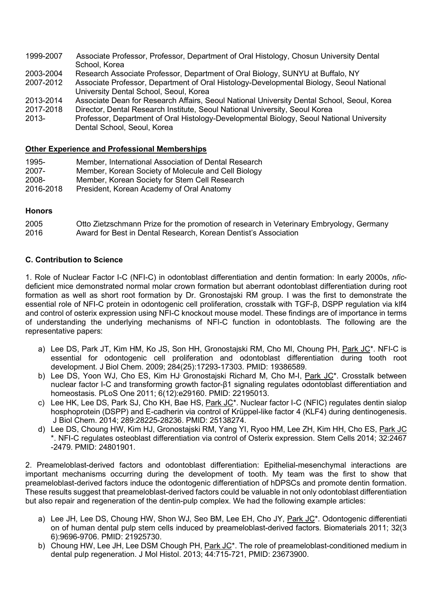- 1999-2007 Associate Professor, Professor, Department of Oral Histology, Chosun University Dental School, Korea
- 2003-2004 Research Associate Professor, Department of Oral Biology, SUNYU at Buffalo, NY
- 2007-2012 Associate Professor, Department of Oral Histology-Developmental Biology, Seoul National University Dental School, Seoul, Korea
- 2013-2014 Associate Dean for Research Affairs, Seoul National University Dental School, Seoul, Korea
- 2017-2018 Director, Dental Research Institute, Seoul National University, Seoul Korea 2013- Professor, Department of Oral Histology-Developmental Biology, Seoul National University Dental School, Seoul, Korea
- 

# Other Experience and Professional Memberships

- 1995- Member, International Association of Dental Research
- 2007- Member, Korean Society of Molecule and Cell Biology
- 2008- Member, Korean Society for Stem Cell Research
- 2016-2018 President, Korean Academy of Oral Anatomy

#### **Honors**

| 2005 | Otto Zietzschmann Prize for the promotion of research in Veterinary Embryology, Germany |
|------|-----------------------------------------------------------------------------------------|
| 2016 | Award for Best in Dental Research, Korean Dentist's Association                         |

#### C. Contribution to Science

1. Role of Nuclear Factor I-C (NFI-C) in odontoblast differentiation and dentin formation: In early 2000s, *nfic*deficient mice demonstrated normal molar crown formation but aberrant odontoblast differentiation during root formation as well as short root formation by Dr. Gronostajski RM group. I was the first to demonstrate the essential role of NFI-C protein in odontogenic cell proliferation, crosstalk with TGF-β, DSPP regulation via klf4 and control of osterix expression using NFI-C knockout mouse model. These findings are of importance in terms of understanding the underlying mechanisms of NFI-C function in odontoblasts. The following are the representative papers:

- a) Lee DS, Park JT, Kim HM, Ko JS, Son HH, Gronostajski RM, Cho MI, Choung PH, Park JC\*. NFI-C is essential for odontogenic cell proliferation and odontoblast differentiation during tooth root development. J Biol Chem. 2009; 284(25):17293-17303. PMID: 19386589.
- b) Lee DS, Yoon WJ, Cho ES, Kim HJ Gronostajski Richard M, Cho M-I, Park JC<sup>\*</sup>. Crosstalk between nuclear factor I-C and transforming growth factor-β1 signaling regulates odontoblast differentiation and homeostasis. PLoS One 2011; 6(12):e29160. PMID: 22195013.
- c) Lee HK, Lee DS, Park SJ, Cho KH, Bae HS, Park JC<sup>\*</sup>. Nuclear factor I-C (NFIC) regulates dentin sialop hosphoprotein (DSPP) and E-cadherin via control of Krüppel-like factor 4 (KLF4) during dentinogenesis. J Biol Chem. 2014; 289:28225-28236. PMID: 25138274.
- d) Lee DS, Choung HW, Kim HJ, Gronostajski RM, Yang YI, Ryoo HM, Lee ZH, Kim HH, Cho ES, Park JC \*. NFI-C regulates osteoblast differentiation via control of Osterix expression. Stem Cells 2014; 32:2467 -2479. PMID: 24801901.

2. Preameloblast-derived factors and odontoblast differentiation: Epithelial-mesenchymal interactions are important mechanisms occurring during the development of tooth. My team was the first to show that preameloblast-derived factors induce the odontogenic differentiation of hDPSCs and promote dentin formation. These results suggest that preameloblast-derived factors could be valuable in not only odontoblast differentiation but also repair and regeneration of the dentin-pulp complex. We had the following example articles:

- a) Lee JH, Lee DS, Choung HW, Shon WJ, Seo BM, Lee EH, Cho JY, Park JC\*. Odontogenic differentiati on of human dental pulp stem cells induced by preameloblast-derived factors. Biomaterials 2011; 32(3 6):9696-9706. PMID: 21925730.
- b) Choung HW, Lee JH, Lee DSM Chough PH, Park JC<sup>\*</sup>. The role of preameloblast-conditioned medium in dental pulp regeneration. J Mol Histol. 2013; 44:715-721, PMID: 23673900.